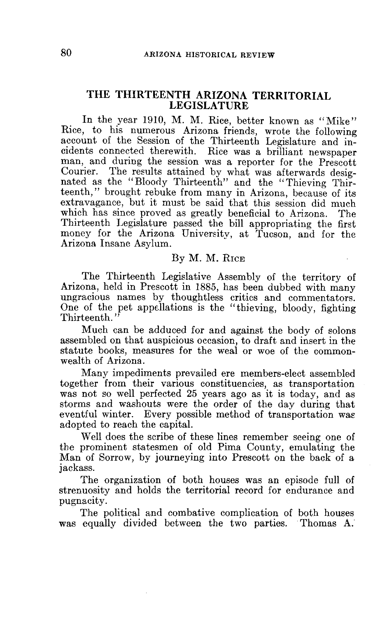# THE THIRTEENTH ARIZONA TERRITORIAL LEGISLATURE

In the year 1910, M. M. Rice, better known as "Mike" Rice, to his numerous Arizona friends, wrote the following account of the Session of the Thirteenth Legislature and incidents connected therewith. Rice was a brilliant newspaper man, and during the session was a reporter for the Prescott The results attained by what was afterwards designated as the "Bloody Thirteenth" and the "Thieving Thirteenth," brought rebuke from many in Arizona, because of its extravagance, but it must be said that this session did much which has since proved as greatly beneficial to Arizona. The Thirteenth Legislature passed the bill appropriating the first money for the Arizona University, at Tucson, and for the Arizona Insane Asylum.

# By M. M. RICE

The Thirteenth Legislative Assembly of the territory of Arizona, held in Prescott in 1885, has been dubbed with many ungracious names by thoughtless critics and commentators. One of the pet appellations is the "thieving, bloody, fighting Thirteenth."

Much can be adduced for and against the body of solons assembled on that auspicious occasion, to draft and insert in the statute books, measures for the weal or woe of the commonwealth of Arizona.

Many impediments prevailed ere members-elect assembled together from their various constituencies, as transportation was not so well perfected 25 years ago as it is today, and as storms and washouts were the order of the day during that eventful winter. Every possible method of transportation was adopted to reach the capital.

Well does the scribe of these lines remember seeing one of the prominent statesmen of old Pima County, emulating the Man of Sorrow, by journeying into Prescott on the back of a jackass.

The organization of both houses was an episode full of strenuosity and holds the territorial record for endurance and pugnacity.

The political and combative complication of both houses was equally divided between the two parties. Thomas A.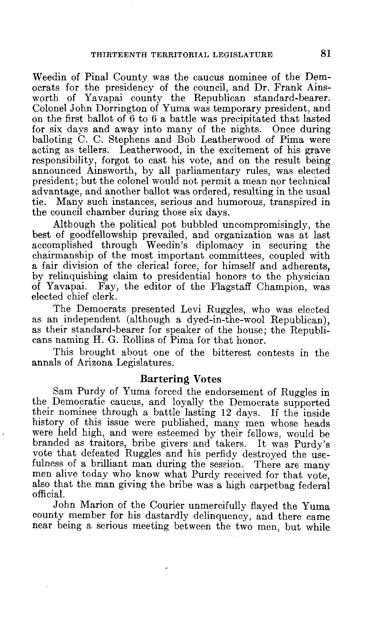Weedin of Pinal County was the caucus nominee of the Democrats for the presidency of the council, and Dr. Frank Ainsworth of Yavapai county the Republican standard-bearer. Colonel John Dorrington of Yuma was temporary president, and on the first ballot of 6 to 6 a battle was precipitated that lasted for six days and away into many of the nights. Once during balloting C. C. Stephens and Bob Leatherwood of Pima were acting as tellers. Leatherwood, in the excitement of his grave responsibility, forgot to cast his vote, and on the result being announced Ainsworth, by all parliamentary rules, was elected president; but the colonel would not permit a mean nor technical advantage, and another ballot was ordered, resulting in the usual Many such instances, serious and humorous, transpired in the council chamber during those six days.

Although the political pot bubbled uncompromisingly, the best of goodfellowship prevailed, and organization was at last accomplished through Weedin's diplomacy in securing the chairmanship of the most important committees, coupled with a fair division of the clerical force, for himself and adherents, by relinquishing claim to presidential honors to the physician of Yavapai. Fay, the editor of the Flagstaff Champion, was elected chief clerk.

The Democrats presented Levi Ruggles, who was elected as an independent (although a dyed-in-the-wool Republican), as their standard-bearer for speaker of the house; the Republicans naming H. G. Rollins of Pima for that honor.

This brought about one of the bitterest contests in the annals of Arizona Legislatures.

#### Bartering Votes

Sam Purdy of Yuma forced the endorsement of Ruggles in the Democratic caucus, and loyally the Democrats supported their nominee through a battle lasting 12 days. If the inside history of this issue were published, many men whose heads were held high, and were esteemed by their fellows, would be branded as traitors, bribe givers and takers. It was Purdy's vote that defeated Ruggles and his perfidy destroyed the use-fulness of a brilliant man during the session. There are many fulness of a brilliant man during the session. men alive today who know what Purdy received for that vote, also that the man giving the bribe was a high carpetbag federal official.

John Marion of the Courier unmercifully flayed the Yuma county member for his dastardly delinquency, and there came near being a serious meeting between the two men, but while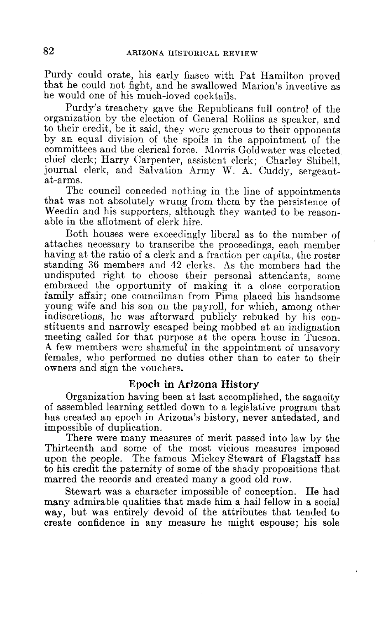Purdy could orate, his early fiasco with Pat Hamilton proved that he could not fight, and he swallowed Marion's invective as he would one of his much-loved cocktails.

Purdy's treachery gave the Republicans full control of the organization by the election of General Rollins as speaker, and to their credit, be it said, they were generous to their opponents by an equal division of the spoils in the appointment of the committees and the clerical force. Morris Goldwater was elected chief clerk; Harry Carpenter, assistent clerk; Charley Shibell, journal clerk, and Salvation Army W. A. Cuddy, sergeantat-arms.

The council conceded nothing in the line of appointments that was not absolutely wrung from them by the persistence of Weedin and his supporters, although they wanted to be reasonable in the allotment of clerk hire.

Both houses were exceedingly liberal as to the number of attaches necessary to transcribe the proceedings, each member having at the ratio of a clerk and a fraction per capita, the roster standing 36 members and 42 clerks. As the members had the undisputed right to choose their personal attendants, some embraced the opportunity of making it a close corporation family affair; one councilman from Pima placed his handsome young wife and his son on the payroll, for which, among other indiscretions, he was afterward publicly rebuked by his constituents and narrowly escaped being mobbed at an indignation meeting called for that purpose at the opera house in Tucson. A few members were shameful in the appointment of unsavory females, who performed no duties other than to cater to their owners and sign the vouchers.

# Epoch in Arizona History

Organization having been at last accomplished, the sagacity of assembled learning settled down to a legislative program that has created an epoch in Arizona's history, never antedated, and impossible of duplication.

There were many measures of merit passed into law by the Thirteenth and some of the most vicious measures imposed upon the people. The famous Mickey Stewart of Flagstaff has to his credit the paternity of some of the shady propositions that marred the records and created many a good old row.

Stewart was a character impossible of conception. He had many admirable qualities that made him a hail fellow in a social way, but was entirely devoid of the attributes that tended to create confidence in any measure he might espouse; his sole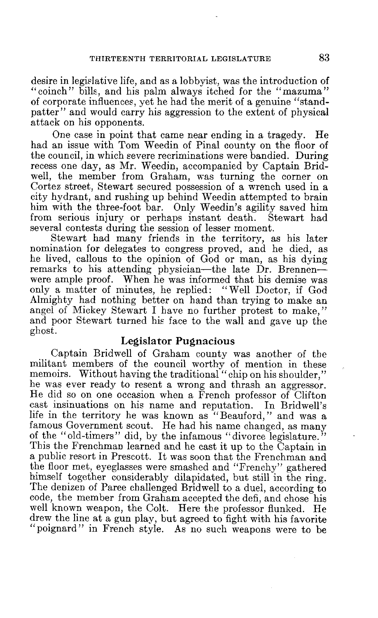desire in legislative life, and as a lobbyist, was the introduction of " coinch" bills, and his palm always itched for the "mazuma" of corporate influences, yet he had the merit of a genuine "standpatter" and would carry his aggression to the extent of physical attack on his opponents.

One case in point that came near ending in a tragedy. He had an issue with Tom Weedin of Pinal county on the floor of the council, in which severe recriminations were bandied. During recess one day, as Mr. Weedin, accompanied by Captain Bridwell, the member from Graham, was turning the corner on Cortez street, Stewart secured possession of a wrench used in a city hydrant, and rushing up behind Weedin attempted to brain him with the three-foot bar. Only Weedin's agility saved him from serious injury or perhaps instant death. Stewart had from serious injury or perhaps instant death. several contests during the session of lesser moment.

Stewart had many friends in the territory, as his later nomination for delegates to congress proved, and he died, as he lived, callous to the opinion of God or man, as his dying remarks to his attending physician—the late Dr. Brennen were ample proof. When he was informed that his demise was only a matter of minutes, he replied: "Well Doctor, if God Almighty had nothing better on hand than trying to make an angel of Mickey Stewart I have no further protest to make," and poor Stewart turned his face to the wall and gave up the ghost.

# Legislator Pugnacious

Captain Bridwell of Graham county was another of the militant members of the council worthy of mention in these memoirs. Without having the traditional "chip on his shoulder," he was ever ready to resent a wrong and thrash an aggressor. He did so on one occasion when a French professor of Clifton cast insinuations on his name and reputation. In Bridwell's cast insinuations on his name and reputation. life in the territory he was known as  $\cdot$ "Beauford," and was a famous Government scout. He had his name changed, as many of the "old-timers" did, by the infamous "divorce legislature." This the Frenchman learned and he cast it up to the Captain in a public resort in Prescott. It was soon that the Frenchman and the floor met, eyeglasses were smashed and "Frenchy" gathered himself together considerably dilapidated, but still in the ring. The denizen of Paree challenged Bridwell to a duel, according to code, the member from Graham accepted the defi, and chose his well known weapon, the Colt. Here the professor flunked. He drew the line at a gun play, but agreed to fight with his favorite "poignard" in French style. As no such weapons were to be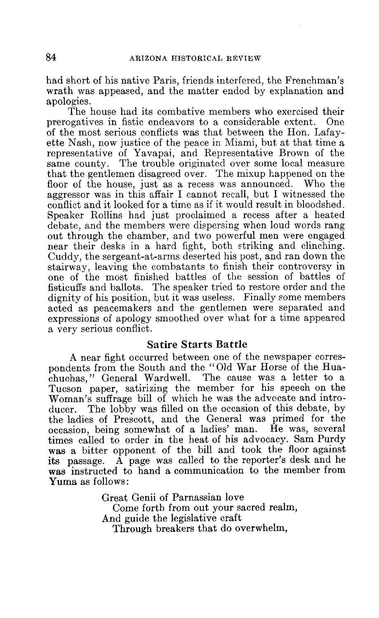had short of his native Paris, friends interfered, the Frenchman's wrath was appeased, and the matter ended by explanation and apologies.

The house had its combative members who exercised their prerogatives in fistic endeavors to a considerable extent. One of the most serious conflicts was that between the Hon. Lafayette Nash, now justice of the peace in Miami, but at that time a representative of Yavapai, and Representative Brown of the same county. The trouble originated over some local measure that the gentlemen disagreed over. The mixup happened on the floor of the house, just as a recess was announced. Who the aggressor was in this affair I cannot recall, but I witnessed the conflict and it looked for a time as if it would result in bloodshed. Speaker Rollins had just proclaimed a recess after a heated debate, and the members were dispersing when loud words rang out through the chamber, and two powerful men were engaged near their desks in a hard fight, both striking and clinching. Cuddy, the sergeant-at-arms deserted his post, and ran down the stairway, leaving the combatants to finish their controversy in one of the most finished battles of the session of battles of fisticuffs and ballots. The speaker tried to restore order and the dignity of his position, but it was useless. Finally some members acted as peacemakers and the gentlemen were separated and expressions of apology smoothed over what for a time appeared a very serious conflict.

# Satire Starts Battle

A near fight occurred between one of the newspaper correspondents from the South and the "Old War Horse of the Huachuchas, " General Wardwell. The cause was a letter to a Tucson paper, satirizing the member for his speech on the Woman's suffrage bill of which he was the advocate and intro-<br>ducer. The lobby was filled on the occasion of this debate, by The lobby was filled on the occasion of this debate, by the ladies of Prescott, and the General was primed for the occasion, being somewhat of a ladies' man. He was, several times called to order in the heat of his advocacy. Sam Purdy was a bitter opponent of the bill and took the floor against its passage. A page was called to the reporter's desk and he was instructed to hand a communication to the member from Yuma as follows:

> Great Genii of Parnassian love Come forth from out your sacred realm, And guide the legislative craft Through breakers that do overwhelm,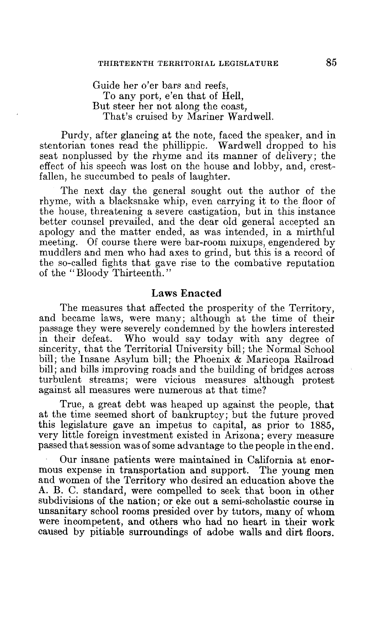Guide her o'er bars and reefs,

To any port, e'en that of Hell, But steer her not along the coast, That's cruised by Mariner Wardwell.

Purdy, after glancing at the note, faced the speaker, and in stentorian tones read the phillippic. Wardwell dropped to his seat nonplussed by the rhyme and its manner of delivery; the effect of his speech was lost on the house and lobby, and, crestfallen, he succumbed to peals of laughter.

The next day the general sought out the author of the rhyme, with a blacksnake whip, even carrying it to the floor of the house, threatening a severe castigation, but in this instance better counsel prevailed, and the dear old general accepted an apology and the matter ended, as was intended, in a mirthful meeting. Of course there were bar-room mixups, engendered by muddlers and men who had axes to grind, but this is a record of the so-called fights that gave rise to the combative reputation of the "Bloody Thirteenth."

#### Laws Enacted

The measures that affected the prosperity of the Territory, and became laws, were many; although at the time of their passage they were severely condemned by the howlers interested in their defeat. Who would say today with any degree of sincerity, that the Territorial University bill; the Normal School bill; the Insane Asylum bill; the Phoenix & Maricopa Railroad bill; and bills improving roads and the building of bridges across turbulent streams; were vicious measures although protest against all measures were numerous at that time?

True, a great debt was heaped up against the people, that at the time seemed short of bankruptcy; but the future proved this legislature gave an impetus to capital, as prior to 1885, very little foreign investment existed in Arizona; every measure passed that session was of some advantage to the people in the end.

Our insane patients were maintained in California at enormous expense in transportation and support. The young men and women of the Territory who desired an education above the A. B. C. standard, were compelled to seek that boon in other subdivisions of the nation; or eke out a semi-scholastic course in unsanitary school rooms presided over by tutors, many of whom were incompetent, and others who had no heart in their work caused by pitiable surroundings of adobe walls and dirt floors.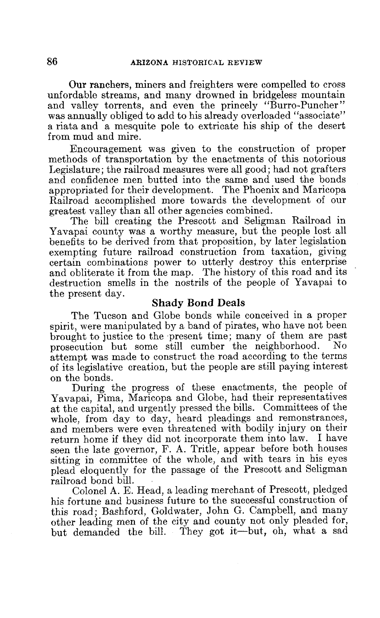Our ranchers, miners and freighters were compelled to cross unfordable streams, and many drowned in bridgeless mountain and valley torrents, and even the princely "Burro-Puncher" was annually obliged to add to his already overloaded "associate" a riata and a mesquite pole to extricate his ship of the desert from mud and mire.

Encouragement was given to the construction of proper methods of transportation by the enactments of this notorious Legislature; the railroad measures were all good; had not grafters and confidence men butted into the same and used the bonds appropriated for their development. The Phoenix and Maricopa Railroad accomplished more towards the development of our greatest valley than all other agencies combined.

The bill creating the Prescott and Seligman Railroad in Yavapai county was a worthy measure, but the people lost all benefits to be derived from that proposition, by later legislation exempting future railroad construction from taxation, giving certain combinations power to utterly destroy this enterprise and obliterate it from the map. The history of this road and its destruction smells in the nostrils of the people of Yavapai to the present day.

#### Shady *Bond* Deals

The Tucson and Globe bonds while conceived in a proper spirit, were manipulated by a band of pirates, who have not been brought to justice to the present time; many of them are past<br>presecution but some still cumber the neighborhood. No prosecution but some still cumber the neighborhood. attempt was made to construct the road according to the terms of its legislative creation, but the people are still paying interest on the bonds.

During the progress of these enactments, the people of Yavapai, Pima, Maricopa and Globe, had their representatives at the capital, and urgently pressed the bills. Committees of the whole, from day to day, heard pleadings and remonstrances, and members were even threatened with bodily injury on their return home if they did not incorporate them into law. I have seen the late governor, F. A. Tritle, appear before both houses sitting in committee of the whole, and with tears in his eyes plead eloquently for the passage of the Prescott and Seligman railroad bond bill.

Colonel A. E. Head, a leading merchant of Prescott, pledged his fortune and business future to the successful construction of this road; Bashford, Goldwater, John G. Campbell, and many other leading men of the city and county not only pleaded for, but demanded the bill. They got it—but, oh, what a sad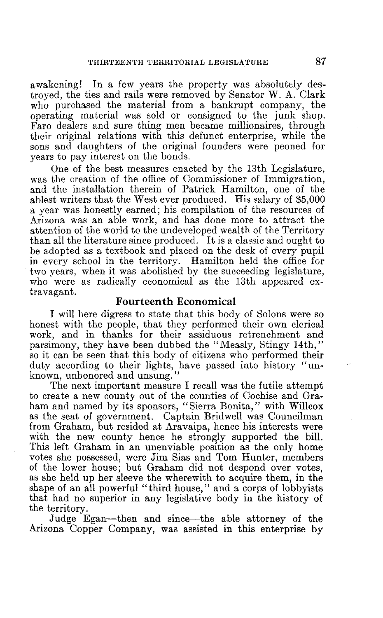awakening! In a few years the property was absolutely destroyed, the ties and rails were removed by Senator W. A. Clark who purchased the material from a bankrupt company, the operating material was sold or consigned to the junk shop. Faro dealers and sure thing men became millionaires, through their original relations with this defunct enterprise, while the sons and daughters of the original founders were peoned for years to pay interest on the bonds.

One of the best measures enacted by the 13th Legislature, was the creation of the office of Commissioner of Immigration, and the installation therein of Patrick Hamilton, one of the ablest writers that the West ever produced. His salary of \$5,000 a year was honestly earned; his compilation of the resources of Arizona was an able work, and has done more to attract the attention of the world to the undeveloped wealth of the Territory than all the literature since produced. It is a classic and ought to be adopted as a textbook and placed on the desk of every pupil in every school in the territory. Hamilton held the office for two years, when it was abolished by the succeeding legislature, who were as radically economical as the 13th appeared extravagant.

# Fourteenth Economical

I will here digress to state that this body of Solons were so honest with the people, that they performed their own clerical work, and in thanks for their assiduous retrenchment and parsimony, they have been dubbed the "Measly, Stingy 14th," so it can be seen that this body of citizens who performed their duty according to their lights, have passed into history "unknown, unhonored and unsung."

The next important measure I recall was the futile attempt to create a new county out of the counties of Cochise and Graham and named by its sponsors, "Sierra Bonita," with Willcox as the seat of government. Captain Bridwell was Councilman from Graham, but resided at Aravaipa, hence his interests were with the new county hence he strongly supported the bill. This left Graham in an unenviable position as the only home votes she possessed, were Jim Sias and Tom Hunter, members of the lower house; but Graham did not despond over votes, as she held up her sleeve the wherewith to acquire them, in the shape of an all powerful "third house," and a corps of lobbyists that had no superior in any legislative body in the history of the territory.

Judge Egan—then and since—the able attorney of the Arizona Copper Company, was assisted in this enterprise by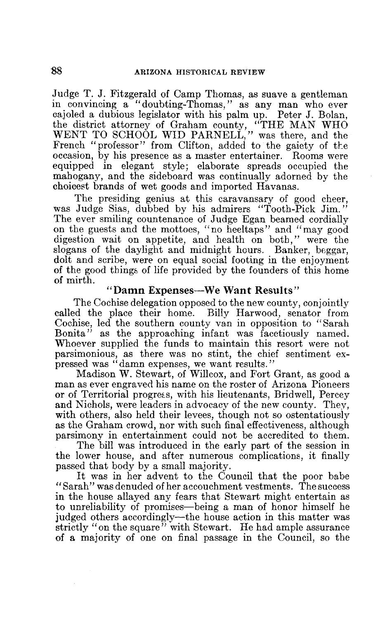Judge T. J. Fitzgerald of Camp Thomas, as suave a gentleman in convincing a "doubting-Thomas," as any man who ever cajoled a dubious legislator with his palm up. Peter J. Bolan, the district attorney of Graham county, "THE MAN WHO WENT TO SCHOOL WID PARNELL," was there, and the French " professor" from Clifton, added to the gaiety of the occasion, by his presence as a master entertainer. Rooms were equipped in elegant style; elaborate spreads occupied the mahogany, and the sideboard was continually adorned by the choicest brands of wet goods and imported Havanas.

The presiding genius at this caravansary of good cheer, was Judge Sias, dubbed by his admirers "Tooth-Pick Jim." The ever smiling countenance of Judge Egan beamed cordially on the guests and the mottoes, "no heeltaps" and "may good digestion wait on appetite, and health on both," were the slogans of the daylight and midnight hours. Banker, beggar, dolt and scribe, were on equal social footing in the enjoyment of the good things of life provided by the founders of this home of mirth.

# "Damn Expenses—We Want Results"

The Cochise delegation opposed to the new county, conjointly called the place their home. Billy Harwood, senator from Cochise, led the southern county van in opposition to "Sarah Bonita" as the approaching infant was facetiously named. Whoever supplied the funds to maintain this resort were not parsimonious, as there was no stint, the chief sentiment expressed was "damn expenses, we want results."

Madison W. Stewart, of Willcox, and Fort Grant, as good a man as ever engraved his name on the roster of Arizona Pioneers or of Territorial progress, with his lieutenants, Bridwell, Percey and Nichols, were leaders in advocacy of the new county. They, with others, also held their levees, though not so ostentatiously as the Graham crowd, nor with such final effectiveness, although parsimony in entertainment could not be accredited to them.

The bill was introduced in the early part of the session in the lower house, and after numerous complications, it finally passed that body by a small majority.

It was in her advent to the Council that the poor babe "Sarah" was denuded of her accouchment vestments. The success in the house allayed any fears that Stewart might entertain as to unreliability of promises—being a man of honor himself he judged others accordingly—the house action in this matter was strictly "on the square" with Stewart. He had ample assurance of a majority of one on final passage in the Council, so the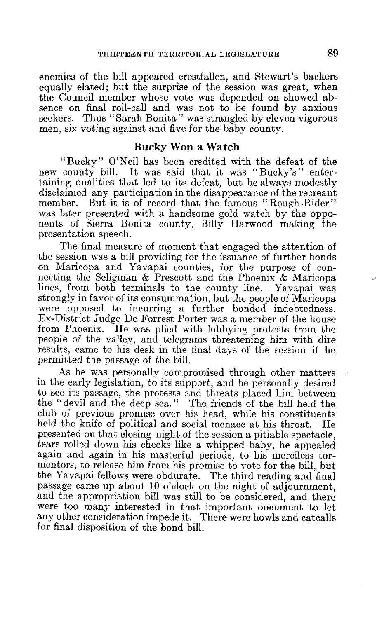enemies of the bill appeared crestfallen, and Stewart's backers equally elated; but the surprise of the session was great, when the Council member whose vote was depended on showed absence on final roll-call and was not to be found by anxious seekers. Thus "Sarah Bonita" was strangled by eleven vigorous men, six voting against and five for the baby county.

# Bucky Won a Watch

"Bucky" O'Neil has been credited with the defeat of the new county bill. It was said that it was "Bucky's" entertaining qualities that led to its defeat, but he always modestly disclaimed any participation in the disappearance of the recreant member. But it is of record that the famous "Rough-Rider" was later presented with a handsome gold watch by the opponents of Sierra Bonita county, Billy Harwood making the presentation speech.

The final measure of moment that engaged the attention of the session was a bill providing for the issuance of further bonds on Maricopa and Yavapai counties, for the purpose of connecting the Seligman & Prescott and the Phoenix & Maricopa lines, from both terminals to the county line. Yavapai was strongly in favor of its consummation, but the people of Maricopa were opposed to incurring a further bonded indebtedness. Ex-District Judge De Forrest Porter was a member of the house from Phoenix. He was plied with lobbying protests from the people of the valley, and telegrams threatening him with dire results, came to his desk in the final days of the session if he permitted the passage of the bill.

As he was personally compromised through other matters in the early legislation, to its support, and he personally desired to see its passage, the protests and threats placed him between the "devil and the deep sea." The friends of the bill held the club of previous promise over his head, while his constituents held the knife of political and social menace at his throat. He presented on that closing night of the session a pitiable spectacle, tears rolled down his cheeks like a whipped baby, he appealed again and again in his masterful periods, to his merciless tormentors, to release him from his promise to vote for the bill, but the Yavapai fellows were obdurate. The third reading and final passage came up about 10 o'clock on the night of adjournment, and the appropriation bill was still to be considered, and there were too many interested in that important document to let any other consideration impede it. There were howls and catcalls for final disposition of the bond bill.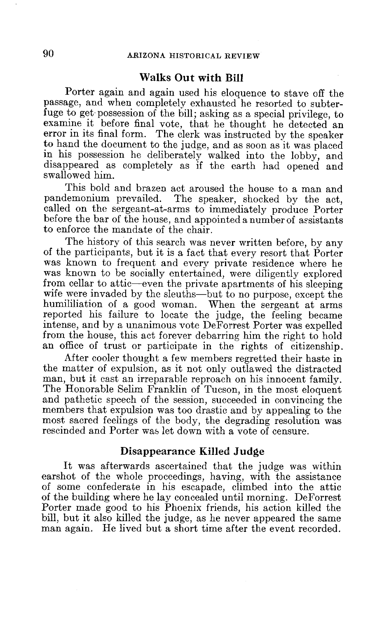# Walks Out with Bill

Porter again and again used his eloquence to stave off the passage, and when completely exhausted he resorted to subterfuge to get possession of the bill; asking as a special privilege, to examine it before final vote, that he thought he detected an error in its final form. The clerk was instructed by the speaker to hand the document to the judge, and as soon as it was placed in his possession he deliberately walked into the lobby, and disappeared as completely as if the earth had opened and swallowed him.

This bold and brazen act aroused the house to a man and pandemonium prevailed. The speaker, shocked by the act. The speaker, shocked by the act, called on the sergeant-at-arms to immediately produce Porter before the bar of the house, and appointed a number of assistants to enforce the mandate of the chair

The history of this search was never written before, by any of the participants, but it is a fact that every resort that Porter was known to frequent and every private residence where he was known to be socially entertained, were diligently explored from cellar to attic—even the private apartments of his sleeping wife were invaded by the sleuths—but to no purpose, except the humililiation of a good woman. When the sergeant at arms reported his failure to locate the judge, the feeling became intense, and by a unanimous vote DeForrest Porter was expelled from the house, this act forever debarring him the right to hold an office of trust or participate in the rights of citizenship.

After cooler thought a few members regretted their haste in the matter of expulsion, as it not only outlawed the distracted man, but it cast an irreparable reproach on his innocent family. The Honorable Selim Franklin of Tucson, in the most eloquent and pathetic speech of the session, succeeded in convincing the members that expulsion was too drastic and by appealing to the most sacred feelings of the body, the degrading resolution was rescinded and Porter was let down with a vote of censure.

# Disappearance Killed Judge

It was afterwards ascertained that the judge was within earshot of the whole proceedings, having, with the assistance of some confederate in his escapade, climbed into the attic of the building where he lay concealed until morning. DeForrest Porter made good to his Phoenix friends, his action killed the bill, but it also killed the judge, as he never appeared the same man again. He lived but a short time after the event recorded.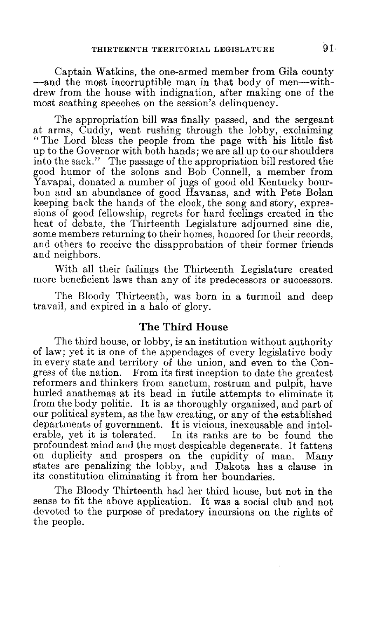Captain Watkins, the one-armed member from Gila county —and the most incorruptible man in that body of men—withdrew from the house with indignation, after making one of the most scathing speeches on the session's delinquency.

The appropriation bill was finally passed, and the sergeant at arms, Cuddy, went rushing through the lobby, exclaiming "The Lord bless the people from the page with his little fist up to the Governor with both hands; we are all up to our shoulders into the sack." The passage of the appropriation bill restored the good humor of the solons and Bob Connell, a member from Yavapai, donated a number of jugs of good old Kentucky bourbon and an abundance of good Havanas, and with Pete Bolan keeping back the hands of the clock, the song and story, expressions of good fellowship, regrets for hard feelings created in the heat of debate, the Thirteenth Legislature adjourned sine die, some members returning to their homes, honored for their records, and others to receive the disapprobation of their former friends and neighbors.

With all their failings the Thirteenth Legislature created more beneficient laws than any of its predecessors or successors.

The Bloody Thirteenth, was born in a turmoil and deep travail, and expired in a halo of glory.

## The Third House

The third house, or lobby, is an institution without authority of law; yet it is one of the appendages of every legislative body in every state and territory of the union, and even to the Congress of the nation. From its first inception to date the greatest reformers and thinkers from sanctum, rostrum and pulpit, have hurled anathemas at its head in futile attempts to eliminate it from the body politic. It is as thoroughly organized, and part of our political system, as the law creating, or any of the established departments of government. It is vicious, inexcusable and intolerable, yet it is tolerated. In its ranks are to be found the In its ranks are to be found the profoundest mind and the most despicable degenerate. It fattens on duplicity and prospers on the cupidity of man. Many states are penalizing the lobby, and Dakota has a clause in its constitution eliminating it from her boundaries.

The Bloody Thirteenth had her third house, but not in the sense to fit the above application. It was a social club and not devoted to the purpose of predatory incursions on the rights of the people.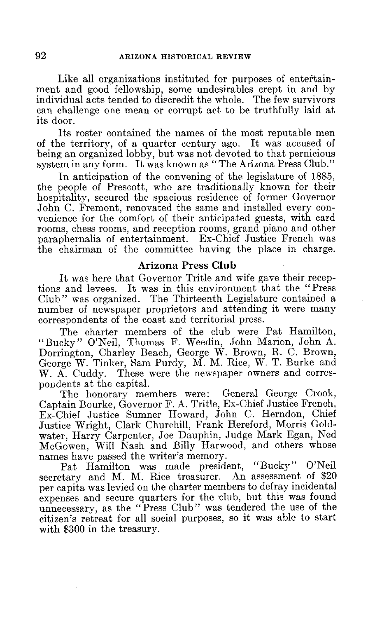Like all organizations instituted for purposes of entertainment and good fellowship, some undesirables crept in and by individual acts tended to discredit the whole. The few survivors can challenge one mean or corrupt act to be truthfully laid at its door.

Its roster contained the names of the most reputable men of the territory, of a quarter century ago. It was accused of being an organized lobby, but was not devoted to that pernicious system in any form. It was known as "The Arizona Press Club."

In anticipation of the convening of the legislature of 1885, the people of Prescott, who are traditionally known for their hospitality, secured the spacious residence of former Governor John C. Fremont, renovated the same and installed every convenience for the comfort of their anticipated guests, with card rooms, chess rooms, and reception rooms, grand piano and other paraphernalia of entertainment. Ex-Chief Justice French was the chairman of the committee having the place in charge.

# Arizona Press Club

It was here that Governor Tritle and wife gave their receptions and levees. It was in this environment that the "Press Club" was organized. The Thirteenth Legislature contained a number of newspaper proprietors and attending it were many correspondents of the coast and territorial press.

The charter members of the club were Pat Hamilton, " Bucky " O'Neil, Thomas F. Weedin, John Marion, John A. Dorrington, Charley Beach, George W. Brown, R. C. Brown, George W. Tinker, Sam Purdy, M. M. Rice, W. T. Burke and W. A. Cuddy. These were the newspaper owners and correspondents at the capital.

The honorary members were: General George Crook, Captain Bourke, Governor F. A. Tritle, Ex-Chief Justice French, Ex-Chief Justice Sumner Howard, John C. Herndon, Chief Justice Wright, Clark Churchill, Frank Hereford, Morris Goldwater, Harry Carpenter, Joe Dauphin, Judge Mark Egan, Ned McGowen, Will Nash and Billy Harwood, and others whose names have passed the writer's memory.

Pat Hamilton was made president, "Bucky" O'Neil secretary and M. M. Rice treasurer. An assessment of \$20 per capita was levied on the charter members to defray incidental expenses and secure quarters for the club, but this was found unnecessary, as the "Press Club" was tendered the use of the citizen's retreat for all social purposes, so it was able to start with \$300 in the treasury.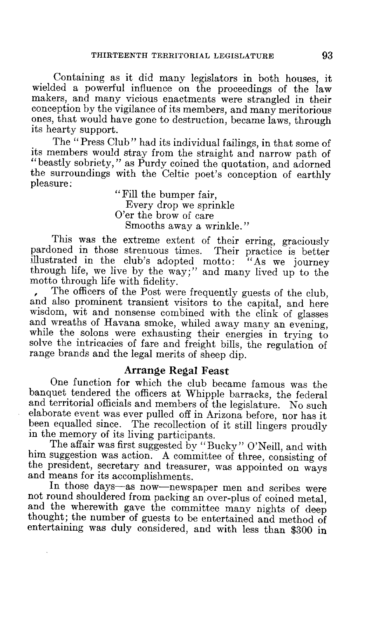Containing as it did many legislators in both houses, it wielded a powerful influence on the proceedings of the law makers, and many vicious enactments were strangled in their conception by the vigilance of its members, and many meritorious ones, that would have gone to destruction, became laws, through its hearty support.

The "Press Club" had its individual failings, in that some of its members would stray from the straight and narrow path of "beastly sobriety," as Purdy coined the quotation, and adorned the surroundings with the Celtic poet's conception of earthly pleasure:

"Fill the bumper fair, Every drop we sprinkle O'er the brow of care Smooths away a wrinkle."

This was the extreme extent of their erring, graciously oned in those strenuous times. Their practice is better pardoned in those strenuous times. illustrated in the club's adopted motto: "As we journey through life, we live by the way;" and many lived up to the motto through life with fidelity.

, The officers of the Post were frequently guests of the club, and also prominent transient visitors to the capital, and here wisdom, wit and nonsense combined with the clink of glasses and wreaths of Havana smoke, whiled away many an evening, while the solons were exhausting their energies in trying to solve the intricacies of fare and freight bills, the regulation of range brands and the legal merits of sheep dip.

Arrange Regal Feast<br>One function for which the club became famous was the banquet tendered the officers at Whipple barracks, the federal and territorial officials and members of the legislature. No such elaborate event was ever pulled off in Arizona before, nor has it been equalled since. The recollection of it still lingers proudly in the memory of its living participants.

The affair was first suggested by "Bucky " O'Neill, and with him suggestion was action. A committee of three, consisting of the president, secretary and treasurer, was appointed on ways and means for its accomplishments.

In those days—as now—newspaper men and scribes were not round shouldered from packing an over-plus of coined metal. and the wherewith gave the committee many nights of deep thought; the number of guests to be entertained and method of entertaining was duly considered, and with less than \$300 in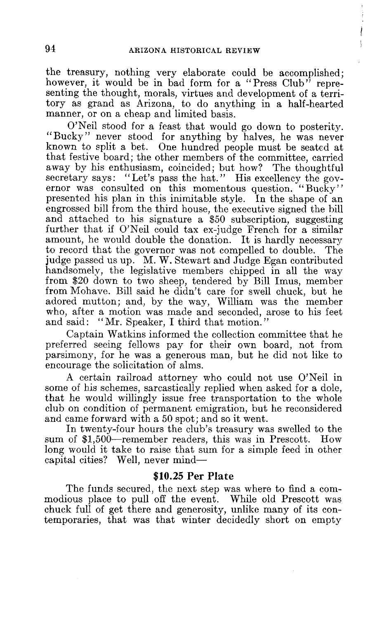the treasury, nothing very elaborate could be accomplished; however, it would be in bad form for a "Press Club" representing the thought, morals, virtues and development of a territory as grand as Arizona, to do anything in a half-hearted manner, or on a cheap and limited basis.

O'Neil stood for a feast that would go down to posterity. "Bucky" never stood for anything by halves, he was never known to split a bet. One hundred people must be seated at that festive board; the other members of the committee, carried away by his enthusiasm, coincided; but how? The thoughtful secretary says: "Let's pass the hat." His excellency the governor was consulted on this momentous question. "Bucky" presented his plan in this inimitable style. In the shape of an engrossed bill from the third house, the executive signed the bill and attached to his signature a \$50 subscription, suggesting further that if O'Neil could tax ex-judge French for a similar amount, he would double the donation. It is hardly necessary to record that the governor was not compelled to double. The to record that the governor was not compelled to double. judge passed us up. M. W. Stewart and Judge Egan contributed handsomely, the legislative members chipped in all the way from \$20 down to two sheep, tendered by Bill Imus, member from Mohave. Bill said he didn't care for swell chuck, but he adored mutton; and, by the way, William was the member who, after a motion was made and seconded, arose to his feet and said: "Mr. Speaker, I third that motion."

Captain Watkins informed the collection committee that he preferred seeing fellows pay for their own board, not from parsimony, for he was a generous man, but he did not like to encourage the solicitation of alms.

A certain railroad attorney who could not use O'Neil in some of his schemes, sarcastically replied when asked for a dole, that he would willingly issue free transportation to the whole club on condition of permanent emigration, but he reconsidered and came forward with a 50 spot; and so it went.

In twenty-four hours the club's treasury was swelled to the sum of \$1,500—remember readers, this was in Prescott. How long would it take to raise that sum for a simple feed in other capital cities? Well, never mind—

## **\$10.25 Per Plate**

The funds secured, the next step was where to find a commodious place to pull off the event. While old Prescott was chuck full of get there and generosity, unlike many of its contemporaries, that was that winter decidedly short on empty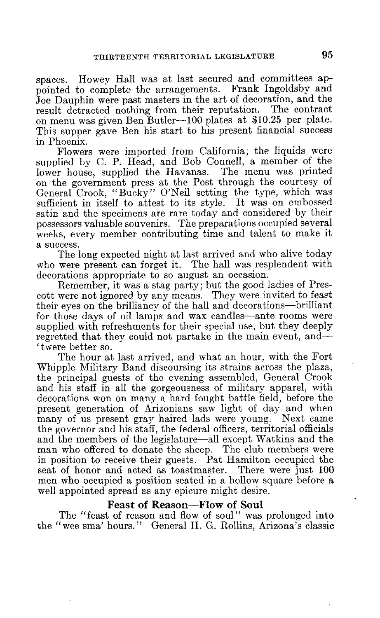spaces. Howey Hall was at last secured and committees appointed to complete the arrangements. Frank Ingoldsby and Joe Dauphin were past masters in the art of decoration, and the result detracted nothing from their reputation. The contract on menu was given Ben Butler-100 plates at \$10.25 per plate. This supper gave Ben his start to his present financial success in Phoenix.

Flowers were imported from California; the liquids were supplied by C. P. Head, and Bob Connell, a member of the lower house, supplied the Havanas. The menu was printed on the government press at the Post through the courtesy of General Crook, "Bucky" O'Neil setting the type, which was sufficient in itself to attest to its style. It was on embossed satin and the specimens are rare today and considered by their possessors valuable souvenirs. The preparations occupied several weeks, every member contributing time and talent to make it a success.

The long expected night at last arrived and who alive today who were present can forget it. The hall was resplendent with decorations appropriate to so august an occasion.

Remember, it was a stag party; but the good ladies of Prescott were not ignored by any means. They were invited to feast their eyes on the brilliancy of the hall and decorations—brilliant for those days of oil lamps and wax candles—ante rooms were supplied with refreshments for their special use, but they deeply regretted that they could not partake in the main event, and-' twere better so.

The hour at last arrived, and what an hour, with the Fort Whipple Military Band discoursing its strains across the plaza, the principal guests of the evening assembled, General Crook and his staff in all the gorgeousness of military apparel, with decorations won on many a hard fought battle field, before the present generation of Arizonians saw light of day and when many of us present gray haired lads were young. Next came the governor and his staff, the federal officers, territorial officials and the members of the legislature—all except Watkins and the man who offered to donate the sheep. The club members were in position to receive their guests. Pat Hamilton occupied the seat of honor and acted as toastmaster. There were just 100 men who occupied a position seated in a hollow square before a well appointed spread as any epicure might desire.

# Feast of Reason—Flow of Soul

The "feast of reason and flow of soul" was prolonged into the "wee sma' hours." General H. G. Rollins, Arizona's classic